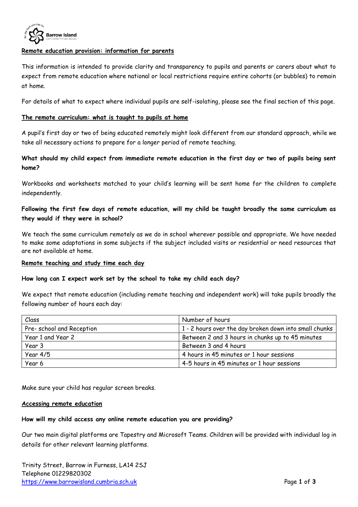

#### **Remote education provision: information for parents**

This information is intended to provide clarity and transparency to pupils and parents or carers about what to expect from remote education where national or local restrictions require entire cohorts (or bubbles) to remain at home.

For details of what to expect where individual pupils are self-isolating, please see the final section of this page.

#### **The remote curriculum: what is taught to pupils at home**

A pupil's first day or two of being educated remotely might look different from our standard approach, while we take all necessary actions to prepare for a longer period of remote teaching.

### **What should my child expect from immediate remote education in the first day or two of pupils being sent home?**

Workbooks and worksheets matched to your child's learning will be sent home for the children to complete independently.

## **Following the first few days of remote education, will my child be taught broadly the same curriculum as they would if they were in school?**

We teach the same curriculum remotely as we do in school wherever possible and appropriate. We have needed to make some adaptations in some subjects if the subject included visits or residential or need resources that are not available at home.

#### **Remote teaching and study time each day**

#### **How long can I expect work set by the school to take my child each day?**

We expect that remote education (including remote teaching and independent work) will take pupils broadly the following number of hours each day:

| Class                    | Number of hours                                        |
|--------------------------|--------------------------------------------------------|
| Pre-school and Reception | 1 - 2 hours over the day broken down into small chunks |
| Year 1 and Year 2        | Between 2 and 3 hours in chunks up to 45 minutes       |
| Year 3                   | Between 3 and 4 hours                                  |
| Year $4/5$               | 4 hours in 45 minutes or 1 hour sessions               |
| Year 6                   | 4-5 hours in 45 minutes or 1 hour sessions             |

Make sure your child has regular screen breaks.

#### **Accessing remote education**

#### **How will my child access any online remote education you are providing?**

Our two main digital platforms are Tapestry and Microsoft Teams. Children will be provided with individual log in details for other relevant learning platforms.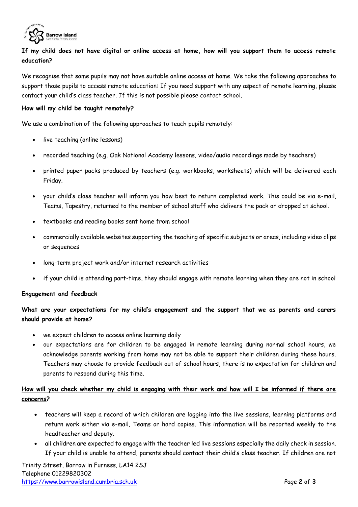

# **If my child does not have digital or online access at home, how will you support them to access remote education?**

We recognise that some pupils may not have suitable online access at home. We take the following approaches to support those pupils to access remote education: If you need support with any aspect of remote learning, please contact your child's class teacher. If this is not possible please contact school.

#### **How will my child be taught remotely?**

We use a combination of the following approaches to teach pupils remotely:

- live teaching (online lessons)
- recorded teaching (e.g. Oak National Academy lessons, video/audio recordings made by teachers)
- printed paper packs produced by teachers (e.g. workbooks, worksheets) which will be delivered each Friday.
- your child's class teacher will inform you how best to return completed work. This could be via e-mail, Teams, Tapestry, returned to the member of school staff who delivers the pack or dropped at school.
- textbooks and reading books sent home from school
- commercially available websites supporting the teaching of specific subjects or areas, including video clips or sequences
- long-term project work and/or internet research activities
- if your child is attending part-time, they should engage with remote learning when they are not in school

#### **Engagement and feedback**

**What are your expectations for my child's engagement and the support that we as parents and carers should provide at home?**

- we expect children to access online learning daily
- our expectations are for children to be engaged in remote learning during normal school hours, we acknowledge parents working from home may not be able to support their children during these hours. Teachers may choose to provide feedback out of school hours, there is no expectation for children and parents to respond during this time.

### **How will you check whether my child is engaging with their work and how will I be informed if there are concerns?**

- teachers will keep a record of which children are logging into the live sessions, learning platforms and return work either via e-mail, Teams or hard copies. This information will be reported weekly to the headteacher and deputy.
- all children are expected to engage with the teacher led live sessions especially the daily check in session. If your child is unable to attend, parents should contact their child's class teacher. If children are not